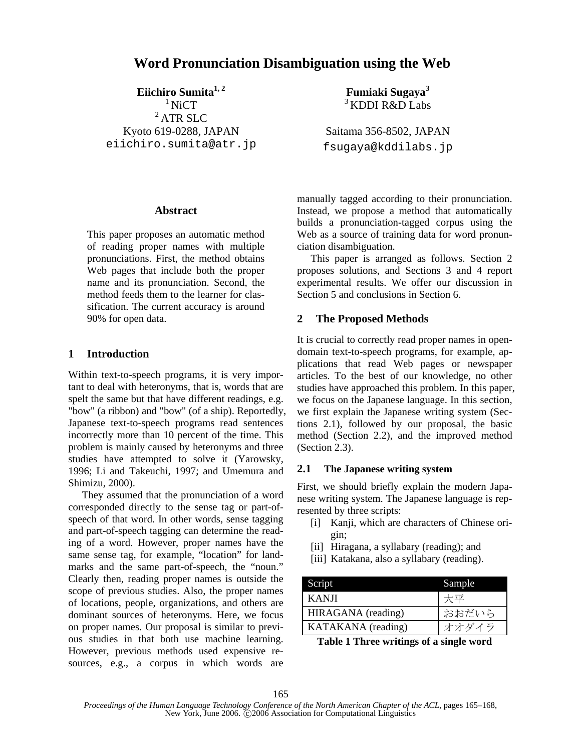# **Word Pronunciation Disambiguation using the Web**

Eiichiro Sumita<sup>1, 2</sup>

 $1$  NiCT  $2$  ATR SLC Kyoto 619-0288, JAPAN eiichiro.sumita@atr.jp

### **Abstract**

This paper proposes an automatic method of reading proper names with multiple pronunciations. First, the method obtains Web pages that include both the proper name and its pronunciation. Second, the method feeds them to the learner for classification. The current accuracy is around 90% for open data.

### **1 Introduction**

Within text-to-speech programs, it is very important to deal with heteronyms, that is, words that are spelt the same but that have different readings, e.g. "bow" (a ribbon) and "bow" (of a ship). Reportedly, Japanese text-to-speech programs read sentences incorrectly more than 10 percent of the time. This problem is mainly caused by heteronyms and three studies have attempted to solve it (Yarowsky, 1996; Li and Takeuchi, 1997; and Umemura and Shimizu, 2000).

They assumed that the pronunciation of a word corresponded directly to the sense tag or part-ofspeech of that word. In other words, sense tagging and part-of-speech tagging can determine the reading of a word. However, proper names have the same sense tag, for example, "location" for landmarks and the same part-of-speech, the "noun." Clearly then, reading proper names is outside the scope of previous studies. Also, the proper names of locations, people, organizations, and others are dominant sources of heteronyms. Here, we focus on proper names. Our proposal is similar to previous studies in that both use machine learning. However, previous methods used expensive resources, e.g., a corpus in which words are **Fumiaki Sugaya3** 3 KDDI R&D Labs

Saitama 356-8502, JAPAN fsugaya@kddilabs.jp

manually tagged according to their pronunciation. Instead, we propose a method that automatically builds a pronunciation-tagged corpus using the Web as a source of training data for word pronunciation disambiguation.

This paper is arranged as follows. Section 2 proposes solutions, and Sections 3 and 4 report experimental results. We offer our discussion in Section 5 and conclusions in Section 6.

# **2 The Proposed Methods**

It is crucial to correctly read proper names in opendomain text-to-speech programs, for example, applications that read Web pages or newspaper articles. To the best of our knowledge, no other studies have approached this problem. In this paper, we focus on the Japanese language. In this section, we first explain the Japanese writing system (Sections 2.1), followed by our proposal, the basic method (Section 2.2), and the improved method (Section 2.3).

# **2.1 The Japanese writing system**

First, we should briefly explain the modern Japanese writing system. The Japanese language is represented by three scripts:

- [i] Kanji, which are characters of Chinese origin;
- [ii] Hiragana, a syllabary (reading); and
- [iii] Katakana, also a syllabary (reading).

| Script             | Sample |
|--------------------|--------|
| <b>KANJI</b>       | 大平     |
| HIRAGANA (reading) | おおだいら  |
| KATAKANA (reading) | オオダイラ  |

**Table 1 Three writings of a single word**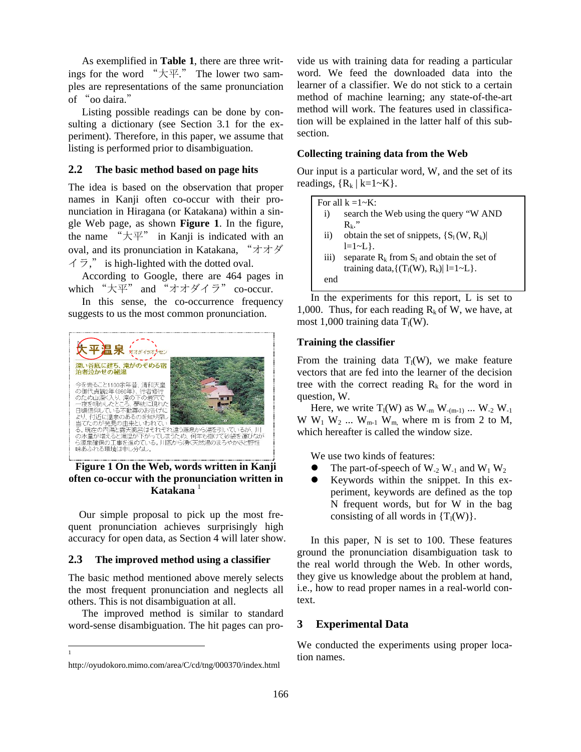As exemplified in **Table 1**, there are three writings for the word "大平." The lower two samples are representations of the same pronunciation of "oo daira."

Listing possible readings can be done by consulting a dictionary (see Section 3.1 for the experiment). Therefore, in this paper, we assume that listing is performed prior to disambiguation.

### **2.2 The basic method based on page hits**

The idea is based on the observation that proper names in Kanji often co-occur with their pronunciation in Hiragana (or Katakana) within a single Web page, as shown **Figure 1**. In the figure, the name " $\overline{X}$ " in Kanji is indicated with an oval, and its pronunciation in Katakana, "オオダ  $\angle$   $\overrightarrow{7}$ ," is high-lighted with the dotted oval.

According to Google, there are 464 pages in which "大平" and "オオダイラ" co-occur.

In this sense, the co-occurrence frequency suggests to us the most common pronunciation.



**Figure 1 On the Web, words written in Kanji often co-occur with the pronunciation written in Katakana** <sup>1</sup>

Our simple proposal to pick up the most frequent pronunciation achieves surprisingly high accuracy for open data, as Section 4 will later show.

#### **2.3 The improved method using a classifier**

The basic method mentioned above merely selects the most frequent pronunciation and neglects all others. This is not disambiguation at all.

The improved method is similar to standard word-sense disambiguation. The hit pages can pro-

 $\overline{\phantom{a}}$ 1 vide us with training data for reading a particular word. We feed the downloaded data into the learner of a classifier. We do not stick to a certain method of machine learning; any state-of-the-art method will work. The features used in classification will be explained in the latter half of this subsection.

### **Collecting training data from the Web**

Our input is a particular word, W, and the set of its readings,  ${R_k | k=1~K}.$ 

|                  | For all $k = 1 - K$ :                           |
|------------------|-------------------------------------------------|
| $\bf{1)}$        | search the Web using the query "W AND           |
|                  | $R_k$ ."                                        |
| $\rm ii)$        | obtain the set of snippets, $\{S_1(W, R_k)\}\$  |
|                  | $l = 1 - L$ .                                   |
| $\overline{111}$ | separate $R_k$ from $S_1$ and obtain the set of |
|                  | training data, $\{(T_l(W), R_k)   l=1-L \}$ .   |
| end              |                                                 |
|                  |                                                 |

In the experiments for this report, L is set to 1,000. Thus, for each reading  $R_k$  of W, we have, at most 1,000 training data  $T_1(W)$ .

#### **Training the classifier**

From the training data  $T_1(W)$ , we make feature vectors that are fed into the learner of the decision tree with the correct reading  $R_k$  for the word in question, W.

Here, we write  $T_1(W)$  as  $W_{-m} W_{-(m-1)} \dots W_{-2} W_{-1}$ W  $W_1$  W<sub>2</sub> ... W<sub>m-1</sub> W<sub>m,</sub> where m is from 2 to M, which hereafter is called the window size.

We use two kinds of features:

- The part-of-speech of  $W_2 W_1$  and  $W_1 W_2$
- Keywords within the snippet. In this experiment, keywords are defined as the top N frequent words, but for W in the bag consisting of all words in  ${T_l(W)}$ .

In this paper, N is set to 100. These features ground the pronunciation disambiguation task to the real world through the Web. In other words, they give us knowledge about the problem at hand, i.e., how to read proper names in a real-world context.

### **3 Experimental Data**

We conducted the experiments using proper location names.

http://oyudokoro.mimo.com/area/C/cd/tng/000370/index.html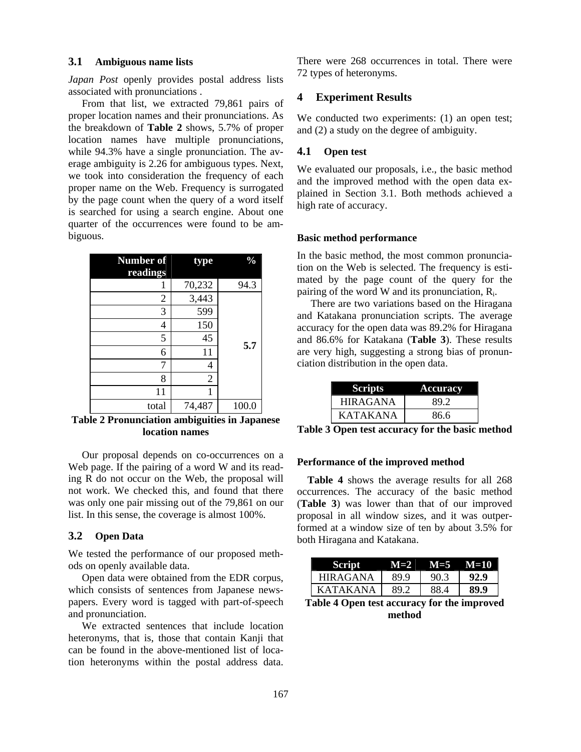### **3.1 Ambiguous name lists**

*Japan Post* openly provides postal address lists associated with pronunciations .

From that list, we extracted 79,861 pairs of proper location names and their pronunciations. As the breakdown of **Table 2** shows, 5.7% of proper location names have multiple pronunciations, while 94.3% have a single pronunciation. The average ambiguity is 2.26 for ambiguous types. Next, we took into consideration the frequency of each proper name on the Web. Frequency is surrogated by the page count when the query of a word itself is searched for using a search engine. About one quarter of the occurrences were found to be ambiguous.

| <b>Number of</b> | type           | $\frac{0}{0}$ |
|------------------|----------------|---------------|
| readings         |                |               |
|                  | 70,232         | 94.3          |
| 2                | 3,443          |               |
| 3                | 599            |               |
| 4                | 150            |               |
| 5                | 45             | 5.7           |
| 6                | 11             |               |
| 7                | 4              |               |
| 8                | $\overline{2}$ |               |
| 11               |                |               |
| total            | 74,487         | 100.0         |

**Table 2 Pronunciation ambiguities in Japanese location names** 

Our proposal depends on co-occurrences on a Web page. If the pairing of a word W and its reading R do not occur on the Web, the proposal will not work. We checked this, and found that there was only one pair missing out of the 79,861 on our list. In this sense, the coverage is almost 100%.

### **3.2 Open Data**

We tested the performance of our proposed methods on openly available data.

Open data were obtained from the EDR corpus, which consists of sentences from Japanese newspapers. Every word is tagged with part-of-speech and pronunciation.

We extracted sentences that include location heteronyms, that is, those that contain Kanji that can be found in the above-mentioned list of location heteronyms within the postal address data.

There were 268 occurrences in total. There were 72 types of heteronyms.

### **4 Experiment Results**

We conducted two experiments: (1) an open test; and (2) a study on the degree of ambiguity.

# **4.1 Open test**

We evaluated our proposals, i.e., the basic method and the improved method with the open data explained in Section 3.1. Both methods achieved a high rate of accuracy.

#### **Basic method performance**

In the basic method, the most common pronunciation on the Web is selected. The frequency is estimated by the page count of the query for the pairing of the word W and its pronunciation,  $R_i$ .

There are two variations based on the Hiragana and Katakana pronunciation scripts. The average accuracy for the open data was 89.2% for Hiragana and 86.6% for Katakana (**Table 3**). These results are very high, suggesting a strong bias of pronunciation distribution in the open data.

| <b>Scripts</b>  | <b>Accuracy</b> |
|-----------------|-----------------|
| <b>HIRAGANA</b> | 89.2            |
| <b>KATAKANA</b> | 86.6            |

**Table 3 Open test accuracy for the basic method** 

### **Performance of the improved method**

**Table 4** shows the average results for all 268 occurrences. The accuracy of the basic method (**Table 3**) was lower than that of our improved proposal in all window sizes, and it was outperformed at a window size of ten by about 3.5% for both Hiragana and Katakana.

|                 | $M=2$ | $M = 5$ | $M=10$ |
|-----------------|-------|---------|--------|
| <b>HIRAGANA</b> | 89.9  | 90.3    | 92.9   |
| KATAKANA        | 89 J  | 88 A    | 89.9   |

**Table 4 Open test accuracy for the improved method**